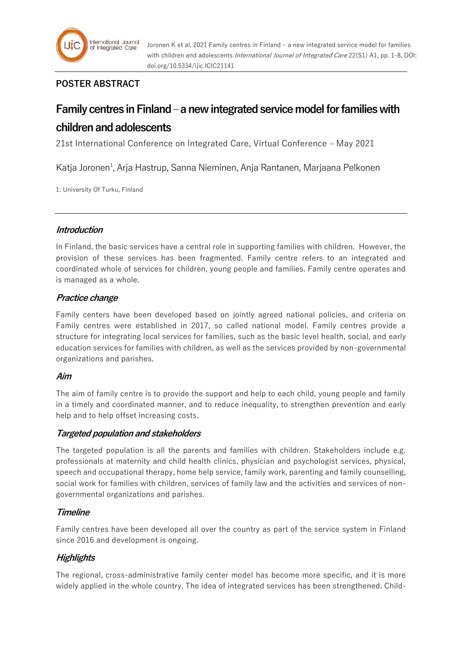

# **POSTER ABSTRACT**

# **Family centres in Finland – a new integrated service model for families with children and adolescents**

21st International Conference on Integrated Care, Virtual Conference – May 2021

Katja Joronen<sup>1</sup>, Arja Hastrup, Sanna Nieminen, Anja Rantanen, Marjaana Pelkonen

1: University Of Turku, Finland

# **Introduction**

In Finland, the basic services have a central role in supporting families with children. However, the provision of these services has been fragmented. Family centre refers to an integrated and coordinated whole of services for children, young people and families. Family centre operates and is managed as a whole.

# **Practice change**

Family centers have been developed based on jointly agreed national policies, and criteria on Family centres were established in 2017, so called national model. Family centres provide a structure for integrating local services for families, such as the basic level health, social, and early education services for families with children, as well as the services provided by non-governmental organizations and parishes.

# **Aim**

The aim of family centre is to provide the support and help to each child, young people and family in a timely and coordinated manner, and to reduce inequality, to strengthen prevention and early help and to help offset increasing costs.

# **Targeted population and stakeholders**

The targeted population is all the parents and families with children. Stakeholders include e.g. professionals at maternity and child health clinics, physician and psychologist services, physical, speech and occupational therapy, home help service, family work, parenting and family counselling, social work for families with children, services of family law and the activities and services of nongovernmental organizations and parishes.

# **Timeline**

Family centres have been developed all over the country as part of the service system in Finland since 2016 and development is ongoing.

# **Highlights**

The regional, cross-administrative family center model has become more specific, and it is more widely applied in the whole country. The idea of integrated services has been strengthened. Child